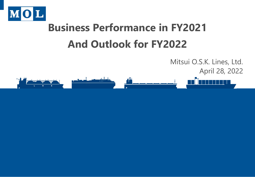

# **Business Performance in FY2021 And Outlook for FY2022**

April 28, 2022طعالجات

Mitsui O.S.K. Lines, Ltd.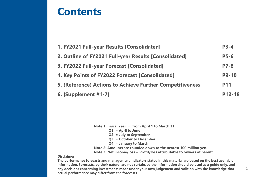### **Contents**

**Disclaimer:** 

| 1. FY2021 Full-year Results [Consolidated]                | $P3-4$       |
|-----------------------------------------------------------|--------------|
| 2. Outline of FY2021 Full-year Results [Consolidated]     | $P5-6$       |
| 3. FY2022 Full-year Forecast [Consolidated]               | $P7-8$       |
| 4. Key Points of FY2022 Forecast [Consolidated]           | <b>P9-10</b> |
| 5. (Reference) Actions to Achieve Further Competitiveness | <b>P11</b>   |
| <b>6. [Supplement #1-7]</b>                               | P12-18       |

| Note 1: Fiscal Year = from April 1 to March 31                         |
|------------------------------------------------------------------------|
| $Q1 =$ April to June                                                   |
| $Q2 = July to September$                                               |
| $Q3 = October to December$                                             |
| $Q4 =$ January to March                                                |
| Note 2: Amounts are rounded down to the nearest 100 million yen.       |
| Note 3: Net income/loss = Profit/loss attributable to owners of parent |

**The performance forecasts and management indicators stated in this material are based on the best available information. Forecasts, by their nature, are not certain, so the information should be used as a guide only, and any decisions concerning investments made under your own judgement and volition with the knowledge that actual performance may differ from the forecasts.**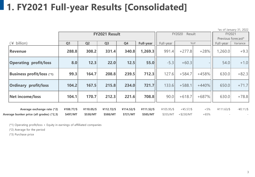### **1. FY2021 Full-year Results [Consolidated]**

|                                          |                |                |                      |            |                  |            |                  |         |                    | *as of January 31, 2022  |
|------------------------------------------|----------------|----------------|----------------------|------------|------------------|------------|------------------|---------|--------------------|--------------------------|
|                                          |                |                | <b>FY2021 Result</b> |            |                  |            | FY2020<br>Result | FY2021  |                    |                          |
|                                          |                |                |                      |            |                  |            |                  |         | Previous forecast* |                          |
| ¥ billion)                               | Q <sub>1</sub> | Q <sub>2</sub> | Q <sub>3</sub>       | Q4         | <b>Full-year</b> | Full-year  |                  | YoY     | Full-year          | Variance                 |
| <b>Revenue</b>                           | 288.8          | 308.2          | 331.4                | 340.8      | 1,269.3          | 991.4      | $+277.8$         | $+28%$  | 1,260.0            | $+9.3$                   |
| <b>Operating profit/loss</b>             | 8.0            | 12.3           | 22.0                 | 12.5       | 55.0             | $-5.3$     | $+60.3$          |         | 54.0               | $+1.0$                   |
| <b>Business profit/loss (*1)</b>         | 99.3           | 164.7          | 208.8                | 239.5      | 712.3            | 127.6      | $+584.7$         | $+458%$ | 630.0              | $+82.3$                  |
| <b>Ordinary profit/loss</b>              | 104.2          | 167.5          | 215.8                | 234.0      | 721.7            | 133.6      | $+588.1$         | $+440%$ | 650.0              | $+71.7$                  |
| <b>Net income/loss</b>                   | 104.1          | 170.7          | 212.3                | 221.6      | 708.8            | 90.0       | $+618.7$         | $+687%$ | 630.0              | $+78.8$                  |
| Average exchange rate (*2)               | ¥108.77/\$     | ¥110.05/\$     | ¥112.72/\$           | ¥114.52/\$ | ¥111.52/\$       | ¥105.95/\$ | $+45.57/$ \$     | $+5%$   | ¥111.63/\$         | $-40.11/$ \$             |
| Average bunker price (all grades) (*2,3) | \$497/MT       | \$530/MT       | \$588/MT             | \$721/MT   | \$585/MT         | \$355/MT   | $+$ \$230/MT     | $+65%$  |                    | $\overline{\phantom{a}}$ |

(\*1) Operating profit/loss + Equity in earnings of affilliated companies

(\*2) Average for the period

(\*3) Purchase price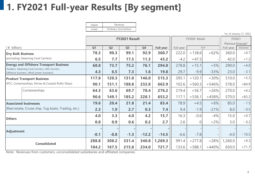### **1. FY2021 Full-year Results [By segment]**

\*as of January 31, 2022

|                                                                                            |        | FY2021 Result  |                |         |           |           | FY2020 Result | FY2021  |                    |          |
|--------------------------------------------------------------------------------------------|--------|----------------|----------------|---------|-----------|-----------|---------------|---------|--------------------|----------|
|                                                                                            |        |                |                |         |           |           |               |         | Previous forecast* |          |
| $(*\text{ billion})$                                                                       | Q1     | Q <sub>2</sub> | Q <sub>3</sub> | Q4      | Full-year | Full-year |               | YoY     | Full-year          | Variance |
| <b>Dry Bulk Business</b>                                                                   | 78.3   | 90.3           | 99.1           | 92.9    | 360.7     | 222.0     | $+138.6$      | $+62%$  | 360.0              | $+0.7$   |
| (excluding; Steaming Coal Carriers)                                                        | 6.5    | 7.7            | 17.5           | 11.3    | 43.2      | $-4.2$    | $+47.5$       |         | 42.0               | $+1.2$   |
| <b>Energy and Offshore Transport Business</b>                                              | 68.8   | 73.7           | 75.2           | 76.1    | 294.0     | 278.8     | $+15.1$       | $+5%$   | 290.0              | $+4.0$   |
| (Tankers, Steaming Coal Carriers, LNG Carriers,<br>Offshore business, Wind power business) | 4.3    | 6.5            | 7.3            | 1.6     | 19.8      | 29.7      | $-9.9$        | $-33%$  | 23.0               | $-3.1$   |
| <b>Product Transport Business</b>                                                          | 117.8  | 120.3          | 131.0          | 146.0   | 515.3     | 395.1     | $+120.1$      | $+30%$  | 510.0              | $+5.3$   |
| (PCC, Containerships, Ferries & Coastal RoRo Ships)                                        | 90.1   | 151.1          | 188.8          | 232.8   | 662.9     | 102.6     | $+560.3$      | $+546%$ | 578.0              | $+84.9$  |
| Containerships                                                                             | 64.3   | 63.6           | 69.7           | 78.4    | 276.2     | 219.4     | $+56.7$       | $+26%$  | 270.0              | $+6.2$   |
|                                                                                            | 90.6   | 149.1          | 185.2          | 228.1   | 653.2     | 117.1     | $+536.1$      | $+458%$ | 570.0              | $+83.2$  |
| <b>Associated businesses</b>                                                               | 19.6   | 20.4           | 21.8           | 21.4    | 83.4      | 78.9      | $+4.5$        | $+6%$   | 85.0               | $-1.5$   |
| (Real estate, Cruise ship, Tug boats, Trading, etc.)                                       | 2.3    | 1.9            | 2.7            | 0.3     | 7.4       | 9.4       | $-1.9$        | $-21%$  | 8.0                | $-0.5$   |
| <b>Others</b>                                                                              | 4.0    | 3.3            | 4.0            | 4.2     | 15.7      | 16.3      | $-0.6$        | $-4%$   | 15.0               | $+0.7$   |
|                                                                                            | 0.8    | 0.9            | 0.6            | 0.2     | 2.7       | 2.6       | $\Omega$      | $+2%$   | 3.0                | $-0.2$   |
|                                                                                            |        |                |                |         |           |           |               |         |                    |          |
| Adjustment                                                                                 | $-0.1$ | $-0.8$         | $-1.3$         | $-12.2$ | $-14.5$   | $-6.6$    | $-7.8$        |         | $-4.0$             | $-10.5$  |
| <b>Consolidated</b>                                                                        | 288.8  | 308.2          | 331.4          | 340.8   | 1,269.3   | 991.4     | $+277.8$      | $+28%$  | 1,260.0            | $+9.3$   |
|                                                                                            | 104.2  | 167.5          | 215.8          | 234.0   | 721.7     | 133.6     | $+588.1$      | $+440%$ | 650.0              | $+71.7$  |

Note : Revenues from customers, unconsolidated subsidiaries and affiliated companies.

Upper Lower Revenue Ordinary income/loss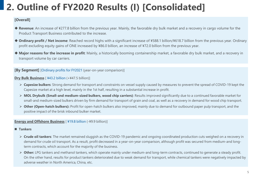## **2. Outline of FY2020 Results (I) [Consolidated]**

#### **[Overall]**

- ◆ Revenue: An increase of ¥277.8 billion from the previous year. Mainly, the favorable dry bulk market and a recovery in cargo volume for the Product Transport Business contributed to the increase.
- ◆ **Ordinary profit / Net income**: Reached record highs with a significant increase of ¥588.1 billion/¥618.7 billion from the previous year. Ordinary profit excluding equity gains of ONE increased by ¥86.0 billion, an increase of ¥72.0 billion from the previous year.
- ◆ Major reasons for the increase in profit: Mainly, a historically booming containership market, a favorable dry bulk market, and a recovery in transport volume by car carriers.

**[By Segment]** [Ordinary profits for FY2021 (year-on-year comparison)]

#### **Dry Bulk Business** [ ¥43.2 billion (+¥47.5 billion)]

- **Eapesize bulkers**: Strong demand for transport and constraints on vessel supply caused by measures to prevent the spread of COVID-19 kept the Capesize market at a high level, mainly in the 1st half, resulting in a substantial increase in profit.
- **MOL Drybulk (Small-and medium-sized bulkers, wood chip carriers)**: Results improved significantly due to a continued favorable market for small-and medium-sized bulkers driven by firm demand for transport of grain and coal, as well as a recovery in demand for wood chip transport.
- **Other (Open-hatch bulkers):** Profit for open-hatch bulkers also improved, mainly due to demand for outbound paper pulp transport, and the positive impact of the brisk inbound bulker market.

#### **Energy and Offshore Business** [ ¥19.8 billion (-¥9.9 billion)]

#### **Tankers**

- **Example 5** > Crude oil tankers: The market remained sluggish as the COVID-19 pandemic and ongoing coordinated production cuts weighed on a recovery in demand for crude oil transport. As a result, profit decreased in a year-on-year comparison, although profit was secured from medium-and longterm contracts, which account for the majority of the business.
- **▶ Other:** LPG tankers and methanol tankers, which operate mainly under medium-and long-term contracts, continued to generate a steady profit. On the other hand, results for product tankers deteriorated due to weak demand for transport, while chemical tankers were negatively impacted by adverse weather in North America, China, etc.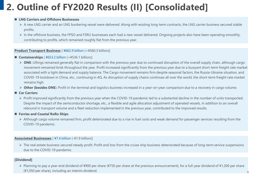## **2. Outline of FY2020 Results (II) [Consolidated]**

#### ■ LNG Carriers and Offshore Businesses

- $\triangleright$  A new LNG carrier and an LNG bunkering vessel were delivered. Along with existing long-term contracts, the LNG carrier business secured stable profits.
- $\triangleright$  In the offshore business, the FPSO and FSRU businesses each had a new vessel delivered. Ongoing projects also have been operating smoothly, contributing to profits, which remained roughly flat from the previous year.

#### **Product Transport Business** [ ¥662.9 billion (+¥560.3 billion)]

- **Containerships** [ ¥653.2 billion (+¥536.1 billion)]
	- **► ONE**: Liftings remained generally flat in comparison with the previous year due to continued disruption of the overall supply chain, although cargo movement remained brisk throughout the year. Profit increased significantly from the previous year due to a buoyant short-term freight rate market associated with a tight demand and supply balance. The Cargo movement remains firm despite seasonal factors, the Russia-Ukraine situation, and COVID-19 lockdown in China, etc., continuing in 4Q. As disruption of supply chains continues all over the world, the short-term freight rate market remains high.
	- **→ Other (besides ONE**): Profit in the terminal and logistics business increased in a year-on-year comparison due to a recovery in cargo volume.
- Car Carriers
	- Profit improved significantly from the previous year when the COVID-19 pandemic led to a substantial decline in the number of units transported. Despite the impact of the semiconductor shortage, etc., a flexible and agile allocation adjustment of operated vessels, in addition to an overall rebound in transport volume and a fleet reduction implemented in the previous year, contributed to the improved results.

#### **Ferries and Coastal RoRo Ships**

> Although cargo volume remained firm, profit deteriorated due to a rise in fuel costs and weak demand for passenger services resulting from the COVID-19 pandemic.

#### **Associated Businesses** [ ¥7.4 billion (-¥1.9 billion)]

▶ The real estate business secured steady profit. Profit and loss from the cruise ship business deteriorated because of long-term service suspensions due to the COVID-19 pandemic.

#### **[Dividend]**

 Planning to pay a year-end dividend of ¥900 per share (¥750 per share at the previous announcement), for a full-year dividend of ¥1,200 per share (¥1,050 per share), including an interim dividend.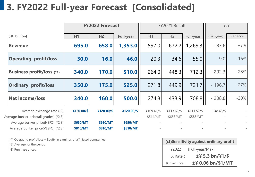## **3. FY2022 Full-year Forecast [Consolidated]**

|                                         | <b>FY2022 Forecast</b> |            |                  |            | FY2021 Result |            | YoY          |          |  |
|-----------------------------------------|------------------------|------------|------------------|------------|---------------|------------|--------------|----------|--|
| $($ ¥ billion)                          | H1                     | H2         | <b>Full-year</b> | H1         | H2            | Full-year  | (Full-year)  | Variance |  |
| <b>Revenue</b>                          | 695.0                  | 658.0      | 1,353.0          | 597.0      | 672.2         | 1,269.3    | $+83.6$      | $+7%$    |  |
| <b>Operating profit/loss</b>            | 30.0                   | 16.0       | 46.0             | 20.3       | 34.6          | 55.0       | $-9.0$       | $-16%$   |  |
| <b>Business profit/loss (*1)</b>        | 340.0                  | 170.0      | 510.0            | 264.0      | 448.3         | 712.3      | $-202.3$     | $-28%$   |  |
| <b>Ordinary profit/loss</b>             | 350.0                  | 175.0      | 525.0            | 271.8      | 449.9         | 721.7      | $-196.7$     | $-27%$   |  |
| <b>Net income/loss</b>                  | 340.0                  | 160.0      | 500.0            | 274.8      | 433.9         | 708.8      | $-208.8$     | $-30%$   |  |
| Average exchange rate (*2)              | ¥120.00/\$             | ¥120.00/\$ | ¥120.00/\$       | ¥109.41/\$ | ¥113.62/\$    | ¥111.52/\$ | $+48.48/$ \$ |          |  |
| Average bunker price(all grades) (*2,3) | $\sim$                 |            | $\sim$           | \$514/MT   | \$653/MT      | \$585/MT   |              |          |  |
| Average bunker price(HSFO) (*2,3)       | \$650/MT               | \$650/MT   | \$650/MT         |            |               |            |              |          |  |
| Average bunker price(VLSFO) (*2,3)      | \$810/MT               | \$810/MT   | \$810/MT         |            |               |            |              |          |  |

(\*1) Operating profit/loss + Equity in earnings of affilliated companies

(\*2) Average for the period

(\*3) Purchase prices

| (cf) Sensitivity against ordinary profit |                     |  |  |  |  |  |  |  |  |
|------------------------------------------|---------------------|--|--|--|--|--|--|--|--|
| FY2022                                   | (Full-year/Max)     |  |  |  |  |  |  |  |  |
| FX Rate:                                 | $±45.3$ bn/\\$1/\\$ |  |  |  |  |  |  |  |  |
| <b>Bunker Price:</b>                     | ±¥ 0.06 bn/\$1/MT   |  |  |  |  |  |  |  |  |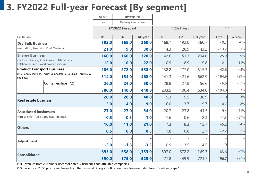## **3. FY2022 Full-year Forecast [By segment]**

|                                                                                            |                                                                | Revenue (*1)<br>Upper |                        |                  |               |                |           |             |          |
|--------------------------------------------------------------------------------------------|----------------------------------------------------------------|-----------------------|------------------------|------------------|---------------|----------------|-----------|-------------|----------|
|                                                                                            |                                                                | Lower                 | Ordinary income/loss   |                  |               |                |           |             |          |
|                                                                                            |                                                                |                       | <b>FY2022 Forecast</b> |                  | FY2021 Result |                |           | YoY         |          |
| $(* billion)$                                                                              |                                                                | H1                    | H <sub>2</sub>         | <b>Full-year</b> | H1            | H <sub>2</sub> | Full-year | (Full-year) | Variance |
| <b>Dry Bulk Business</b>                                                                   |                                                                | 192.0                 | 168.0                  | 360.0            | 168.7         | 192.0          | 360.7     | $-0.7$      | $-0%$    |
| (excluding; Steaming Coal Carriers)                                                        |                                                                | 21.0                  | 9.0                    | 30.0             | 14.3          | 28.9           | 43.2      | $-13.2$     | $-31%$   |
| <b>Energy Business</b>                                                                     |                                                                | 160.0                 | 160.0                  | 320.0            | 142.6         | 151.3          | 294.0     | $+25.9$     | $+9%$    |
| (Tankers, Steaming Coal Carriers, LNG Carriers,<br>Offshore business, Wind power business) |                                                                | 12.0                  | 10.0                   | 22.0             | 10.9          | 8.9            | 19.8      | $+2.1$      | $+11%$   |
| <b>Product Transport Business</b>                                                          |                                                                | 286.0                 | 272.0                  | 558.0            | 238.2         | 277.0          | 515.3     | $+42.6$     | $+8%$    |
| Logistics)                                                                                 | (PCC, Containerships, Ferries & Coastal RoRo Ships, Terminal & | 314.0                 | 154.0                  | 468.0            | 241.3         | 421.6          | 662.9     | $-194.9$    | $-29%$   |
|                                                                                            | Containerships (*2)                                            | 26.0                  | 24.0                   | 50.0             | 28.8          | 27.8           | 56.6      | $-6.6$      | $-82%$   |
|                                                                                            |                                                                | 300.0                 | 140.0                  | 440.0            | 233.5         | 400.4          | 634.0     | $-194.0$    | $-33%$   |
| <b>Real estate business</b>                                                                |                                                                | 20.0                  | 20.0                   | 40.0             | 19.3          | 19.5           | 38.9      | $+1.0$      | $+3%$    |
|                                                                                            |                                                                | 5.0                   | 4.0                    | 9.0              | 6.0           | 3.7            | 9.7       | $-0.7$      | $-8%$    |
| <b>Associated businesses</b>                                                               |                                                                | 27.0                  | 27.0                   | 54.0             | 20.7          | 23.8           | 44.5      | $+9.4$      | $+21%$   |
| (Cruise ship, Tug boats, Trading, etc.)                                                    |                                                                | $-0.5$                | $-0.5$                 | $-1.0$           | $-1.6$        | $-0.6$         | $-2.3$    | $+1.3$      | $-57%$   |
| <b>Others</b>                                                                              |                                                                | 10.0                  | 11.0                   | 21.0             | 7.3           | 8.3            | 15.7      | $+5.2$      | 34%      |
|                                                                                            |                                                                | 0.5                   | 0.0                    | 0.5              | 1.8           | 0.8            | 2.7       | $-2.2$      | $-82%$   |
| <b>Adjustment</b>                                                                          |                                                                |                       |                        |                  |               |                |           |             |          |
|                                                                                            |                                                                | $-2.0$                | $-1.5$                 | $-3.5$           | $-0.9$        | $-13.5$        | $-14.5$   | $+11.0$     |          |
| <b>Consolidated</b>                                                                        |                                                                | 695.0                 | 658.0                  | 1,353.0          | 597.0         | 672.2          | 1,269.3   | $+83.6$     | $+7%$    |
|                                                                                            |                                                                | 350.0                 | 175.0                  | 525.0            | 271.8         | 449.9          | 721.7     | $-196.7$    | $-27%$   |

(\*1) Revenues from customers, unconsolidated subsidiaries and affiliated companies.

(\*2) Since fiscal 2022, profits and losses from the Terminal & Logistics Business have been excluded from "Containerships."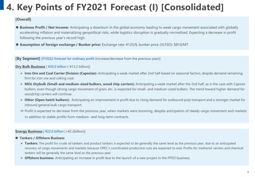## **4. Key Points of FY2021 Forecast (I) [Consolidated]**

#### **[Overall]**

- ◆ Business Profit / Net Income: Anticipating a downturn in the global economy leading to weak cargo movement associated with globally accelerating inflation and materializing geopolitical risks, while logistics disruption is gradually normalized. Expecting a decrease in profit following the previous year's record high.
- **Assumption of foreign exchange / Bunker price:** Exchange rate: ¥120/\$, bunker price (VLFSO): \$810/MT

**[By Segment]** [FY2022 forecast for ordinary profit (increase/decrease from the previous year)]

#### **Dry Bulk Business** [ ¥30.0 billion (-¥13.2 billion)]

- **Extra)** Iron Ore and Coal Carrier Division (Capesize): Anticipating a weak market after 2nd half based on seasonal factors, despite demand remaining firm for iron ore and coking coal.
- **MOL Drybulk (Small-and medium-sized bulkers, wood chip carriers):** Anticipating a weak market after the 2nd half, as is the case with Capsize bulkers, even though strong cargo movement of grain, etc. is expected for small- and medium-sized bulkers. The trend toward higher demand for woodchip carriers will continue.
- **Other (Open hatch bulkers):** Anticipating an improvement in profit due to rising demand for outbound pulp transport and a stronger market for inbound general bulk cargo transport.
- ⇒ Profit is expected to decrease from the previous year, when markets were booming, despite anticipation of steady cargo movement and markets in addition to stable profits from medium- and long-term contracts.

#### **Energy Business** [ ¥22.0 billion (+¥2.2billion)]

- **Tankers / Offshore Business**
	- **Fankers**: The profit for crude oil tankers and product tankers is expected to be generally the same level as the previous year, due to an anticipated recovery of cargo movements and markets because OPEC's coordinated production cuts are expected to end. Profits for methanol carriers and chemical tankers will be generally the same level as the previous year.
	- **Offshore business**: Anticipating an increase in profit due to the launch of a new project in the FPSO business.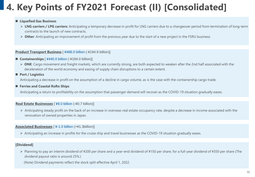## **4. Key Points of FY2021 Forecast (II) [Consolidated]**

#### **Liquefied Gas Business**

- **LNG carriers / LPG carriers:** Anticipating a temporary decrease in profit for LNG carriers due to a changeover period from termination of long-term contracts to the launch of new contracts.
- **Other**: Anticipating an improvement of profit from the previous year due to the start of a new project in the FSRU business.

#### **Product Transport Business** [ ¥468.0 billion (-¥194.9 billion)]

- **Containerships** [ ¥440.0 billion (-¥194.0 billion)]
	- **► ONE**: Cargo movement and freight markets, which are currently strong, are both expected to weaken after the 2nd half associated with the deceleration of the world economy and easing of supply chain disruptions to a certain extent.
- Port / Logistics

Anticipating a decrease in profit on the assumption of a decline in cargo volume, as is the case with the containership cargo trade.

**Ferries and Coastal RoRo Ships**

Anticipating a return to profitability on the assumption that passenger demand will recover as the COVID-19 situation gradually eases.

#### **Real Estate Businesses** [ ¥9.0 billion (-¥0.7 billion)]

 Anticipating steady profit on the back of an increase in overseas real estate occupancy rate, despite a decrease in income associated with the renovation of owned properties in Japan.

#### **Associated Businesses** [ ¥-1.0 billion (+¥1.3billion)]

Anticipating an increase in profits for the cruise ship and travel businesses as the COVID-19 situation gradually eases.

#### **[Dividend]**

 Planning to pay an interim dividend of ¥200 per share and a year-end dividend of ¥150 per share, for a full-year dividend of ¥350 per share (The dividend payout ratio is around 25%.)

(Note) Dividend payments reflect the stock split effective April 1, 2022.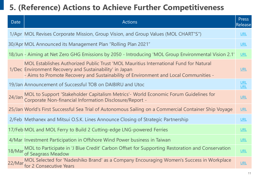### **5. (Reference) Actions to Achieve Further Competitiveness**

| Date   | <b>Actions</b>                                                                                                                                                                                                                           | <b>Press</b><br>Release  |
|--------|------------------------------------------------------------------------------------------------------------------------------------------------------------------------------------------------------------------------------------------|--------------------------|
|        | 1/Apr MOL Revises Corporate Mission, Group Vision, and Group Values (MOL CHART"S")                                                                                                                                                       | <b>URL</b>               |
|        | 30/Apr MOL Announced its Management Plan "Rolling Plan 2021"                                                                                                                                                                             | <b>URL</b>               |
|        | 18/Jun - Aiming at Net Zero GHG Emissions by 2050 - Introducing 'MOL Group Environmental Vision 2.1'                                                                                                                                     | <b>URL</b>               |
|        | MOL Establishes Authorized Public Trust 'MOL Mauritius International Fund for Natural<br>1/Dec Environment Recovery and Sustainability' in Japan<br>- Aims to Promote Recovery and Sustainability of Environment and Local Communities - | <b>URL</b>               |
|        | 19/Jan Announcement of Successful TOB on DAIBIRU and Utoc                                                                                                                                                                                | <b>URL</b><br><b>URL</b> |
| 24/Jan | MOL to Support 'Stakeholder Capitalism Metrics'- World Economic Forum Guidelines for<br>Corporate Non-financial Information Disclosure/Report -                                                                                          | URL                      |
|        | 25/Jan World's First Successful Sea Trial of Autonomous Sailing on a Commercial Container Ship Voyage                                                                                                                                    | URL                      |
|        | 2/Feb Methanex and Mitsui O.S.K. Lines Announce Closing of Strategic Partnership                                                                                                                                                         | <b>URL</b>               |
|        | 17/Feb MOL and MOL Ferry to Build 2 Cutting-edge LNG-powered Ferries                                                                                                                                                                     | <b>URL</b>               |
|        | 4/Mar Investment Participation in Offshore Wind Power business in Taiwan                                                                                                                                                                 | <b>URL</b>               |
|        | 18/Mar MOL to Participate in 'J Blue Credit' Carbon Offset for Supporting Restoration and Conservation<br>of Seagrass Meadow                                                                                                             | <b>URL</b>               |
|        | 22/Mar MOL Selected for 'Nadeshiko Brand' as a Company Encouraging Women's Success in Workplace<br>for 2 Consecutive Years                                                                                                               | URL                      |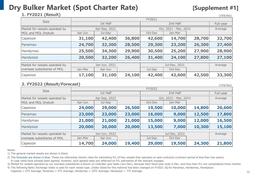### **Dry Bulker Market (Spot Charter Rate)** [Supplement #1]

 $(1154/day)$ 

### **1. FY2021 (Result)**

| 1. FYZ021 (Result)             |         |               |        |                       |         |           | (US\$/day) |  |  |
|--------------------------------|---------|---------------|--------|-----------------------|---------|-----------|------------|--|--|
| <b>Size</b>                    | FY2021  |               |        |                       |         |           |            |  |  |
|                                |         | 1st Half      |        |                       |         | Full-year |            |  |  |
| Market for vessels operated by |         | Apr-Sep, 2021 |        | Oct, 2021 - Mar, 2022 | Average |           |            |  |  |
| MOL and MOL Drybulk            | Apr-Jun | Jul-Sep       |        | Oct-Dec               | Jan-Mar |           |            |  |  |
| Capesize                       | 31,100  | 42,400        | 36,800 | 42,600                | 14,700  | 28,700    | 32,700     |  |  |
| Panamax                        | 24,700  | 32,300        | 28,500 | 29,300                | 23,200  | 26,300    | 27,400     |  |  |
| Handymax                       | 25,500  | 34,300        | 29,900 | 30,500                | 25,200  | 27,900    | 28,900     |  |  |
| Handysize                      | 20,500  | 32,200        | 26,400 | 31,400                | 24,100  | 27,800    | 27,100     |  |  |
| Market for vessels operated by |         | Jan-Jun, 2021 |        |                       | Average |           |            |  |  |
| overseas subsidiaries of MOL   | Jan-Mar | Apr-Jun       |        | Jul-Sep               | Oct-Dec |           |            |  |  |
| Capesize                       | 17,100  | 31,100        | 24,100 | 42,400                | 42,600  | 42,500    | 33,300     |  |  |

### **2. FY2022 (Result/Forecast)**

|                                | (UUP) uu y<br>FY2022 |               |        |                       |               |        |        |  |  |  |
|--------------------------------|----------------------|---------------|--------|-----------------------|---------------|--------|--------|--|--|--|
| <b>Size</b>                    |                      | 1st Half      |        |                       | Full-year     |        |        |  |  |  |
| Market for vessels operated by | Apr-Sep, 2022        |               |        | Oct, 2022 - Mar, 2023 | Average       |        |        |  |  |  |
| MOL and MOL Drybulk            | Apr-Jun              | Jul-Sep       |        | Oct-Dec               | Jan-Mar       |        |        |  |  |  |
| Capesize                       | 24,000               | 29,000        | 26,500 | 19,500                | 10,000        | 14,800 | 20,600 |  |  |  |
| Panamax                        | 23,000               | 23,000        | 23,000 | 16,000                | 9,000         | 12,500 | 17,800 |  |  |  |
| Handymax                       | 21,000               | 21,000        | 21,000 | 15,000                | 9,000         | 12,000 | 16,500 |  |  |  |
| Handysize                      | 20,000               | 20,000        | 20,000 | 13,500                | 7,000         | 10,300 | 15,100 |  |  |  |
| Market for vessels operated by |                      | Jan-Jun, 2022 |        |                       | Jul-Dec, 2022 |        |        |  |  |  |
| overseas subsidiaries of MOL   | Jan-Mar              | Apr-Jun       |        | Jul-Sep               | Oct-Dec       |        |        |  |  |  |
| Capesize                       | 14,700               | 24,000        | 19,400 | 29,000                | 19,500        | 24,300 | 21,800 |  |  |  |

Notes:

1) The general market results are shown in black.

2) The forecasts are shown in blue. These are referential charter rates for estimating P/L of free vessels that operates on spot contracts (contract period of less than two years). In case rates have already been agreed, however, such agreed rates are reflected on P/L estimation of the relevant voyages.

3) Market for vessels operated by our overseas subsidiaries is shown on Calendar year basis (Jan-Dec), because their fiscal year ends in Dec. and thus their P/L are consolidated three months

4) The following Baltic Exchange Index is used for each vessel type. (Index listed for this material has been changed on FY2021 3Q for Panamax, Handymax, Handysize)

Capesize = 5TC Average, Panamax = 5TC Average, Handymax = 10TC Average, Handysize = 7TC Average.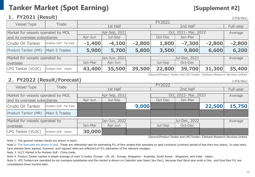### **Tanker Market (Spot Earning) [Supplement #2]**

(US\$/day)

 $(1154/day)$ 

### **1.FY2021 (Result)**

| <b>Vessel Type</b>                 | Trade                   |               | FY2021        |                      |         |          |          |           |  |  |  |  |
|------------------------------------|-------------------------|---------------|---------------|----------------------|---------|----------|----------|-----------|--|--|--|--|
|                                    |                         |               | 1st Half      |                      |         | 2nd Half |          | Full-year |  |  |  |  |
| Market for vessels operated by MOL |                         | Apr-Sep, 2021 |               | Oct, 2021- Mar, 2022 | Average |          |          |           |  |  |  |  |
| and its overseas subsidiaries      |                         | Apr-Jun       | Jul-Sep       |                      | Oct-Dec | Jan-Mar  |          |           |  |  |  |  |
| Crude Oil Tanker                   | Arabian Gulf - Far East | $-1,400$      | $-4,100$      | $-2,800$             | 1,800   | $-7,300$ | $-2,800$ | $-2,800$  |  |  |  |  |
| Product Tanker (MR)                | Main 5 Trades           | 5,900         | 5,700         | 5,800                | 3,500   | 9,800    | 6,600    | 6,200     |  |  |  |  |
| Market for vessels operated by     |                         |               | Jan-Jun, 2021 |                      |         | Average  |          |           |  |  |  |  |
| <i>loverseas</i>                   |                         | Jan-Mar       | Apr-Jun       |                      | Jul-Sep | Oct-Dec  |          |           |  |  |  |  |
| LPG Tanker (VLGC)                  | Arabian Gulf - Japan    | 43,400        | 35,500        | 39,500               | 22,800  | 39,700   | 31,300   | 35,400    |  |  |  |  |

(Source)Product Tanker and LPG Tanker: Clarkson Research Services Limited

### **2.FY2022 (Result/Forecast)**

|                                    |                         |               |               |       |                      |               |        | $\sqrt{2}$ |
|------------------------------------|-------------------------|---------------|---------------|-------|----------------------|---------------|--------|------------|
| <b>Vessel Type</b>                 | Trade                   |               |               |       | FY2022               |               |        |            |
|                                    |                         |               | 1st Half      |       |                      | 2nd Half      |        | Full-year  |
| Market for vessels operated by MOL |                         | Apr-Sep, 2022 |               |       | Oct, 2022- Mar, 2023 | Average       |        |            |
|                                    |                         |               |               |       |                      |               |        |            |
| and its overseas subsidiaries      |                         | Apr-Jun       | Jul-Sep       |       | Oct-Dec              | Jan-Mar       |        |            |
| Crude Oil Tanker                   | Arabian Gulf - Far East |               |               | 9,000 |                      |               | 22,500 | 15,750     |
|                                    |                         |               |               |       |                      |               |        |            |
| Product Tanker (MR)                | Main 5 Trades           |               |               |       |                      |               |        |            |
|                                    |                         |               |               |       |                      | Jul-Dec, 2022 |        |            |
| Market for vessels operated by     |                         |               | Jan-Jun, 2022 |       |                      | Average       |        |            |
| <b>loverseas</b>                   |                         | Jan-Mar       | Apr-Jun       |       | Jul-Sep              | Oct-Dec       |        |            |
| LPG Tanker (VLGC)                  | Arabian Gulf - Japan    | 30,000        |               |       |                      |               |        |            |

(Source)Product Tanker and LPG Tanker: Clarkson Research Services Limited

Note 1: The general market results are shown in black.

Note 2: The forecasts are shown in blue. These are referential rate for estimating P/L of free vessels that operates on spot contracts (contract period of less than two years). In case rates have already been agreed, however, such agreed rates are reflected on P/L estimation of the relevant voyages.

Note 3: VLCC Market is for Arabian Gulf - China trade.

Note 4: Product Tanker market is simple average of main 5 trades: Europe - US, US - Europe, Singapore - Australia, South Korea - Singapore, and India - Japan.

Note 5: LPG Tankers are operated by our overseas subsidiaries and the market is shown on Calendar year basis (Jan-Dec), because their fiscal year ends in Dec. and thus their P/L are consolidated three months later.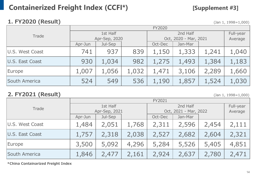### **Containerized Freight Index (CCFI\*) [Supplement #3]**

### **1. FY2020 (Result)** (Jan 1, 1998=1,000)

|                 | <b>FY2020</b> |               |       |                       |           |       |       |  |
|-----------------|---------------|---------------|-------|-----------------------|-----------|-------|-------|--|
| Trade           |               | 1st Half      |       |                       | Full-year |       |       |  |
|                 |               | Apr-Sep, 2020 |       | Oct, 2020 - Mar, 2021 | Average   |       |       |  |
|                 | Apr-Jun       | Jul-Sep       |       | Oct-Dec               | Jan-Mar   |       |       |  |
| U.S. West Coast | 741           | 937           | 839   | 1,150                 | 1,333     | 1,241 | 1,040 |  |
| U.S. East Coast | 930           | 1,034         | 982   | 1,275                 | 1,493     | 1,384 | 1,183 |  |
| Europe          | 1,007         | 1,056         | 1,032 | 1,471                 | 3,106     | 2,289 | 1,660 |  |
| South America   | 524           | 549           | 536   | 1,190                 | 1,857     | 1,524 | 1,030 |  |

### **2. FY2021 (Result)** (Jan 1, 1998=1,000)

|                 | FY2021        |         |       |                       |           |       |       |  |
|-----------------|---------------|---------|-------|-----------------------|-----------|-------|-------|--|
| Trade           | 1st Half      |         |       |                       | Full-year |       |       |  |
|                 | Apr-Sep, 2021 |         |       | Oct, 2021 - Mar, 2022 | Average   |       |       |  |
|                 | Apr-Jun       | Jul-Sep |       | Oct-Dec               | Jan-Mar   |       |       |  |
| U.S. West Coast | 1,484         | 2,051   | 1,768 | 2,311                 | 2,596     | 2,454 | 2,111 |  |
| U.S. East Coast | 1,757         | 2,318   | 2,038 | 2,527                 | 2,682     | 2,604 | 2,321 |  |
| Europe          | 3,500         | 5,092   | 4,296 | 5,284                 | 5,526     | 5,405 | 4,851 |  |
| South America   | 1,846         | 2,477   | 2,161 | 2,924                 | 2,637     | 2,780 | 2,471 |  |

**\*China Containarized Freight Index**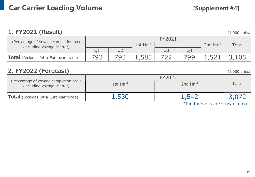### **1. FY2021 (Result)** (1,000 units)

| (Percentage of voyage completion basis |          |  |  |  |     |          |       |  |
|----------------------------------------|----------|--|--|--|-----|----------|-------|--|
| /including voyage charter)             | 1st Half |  |  |  |     | 2nd Half | Total |  |
|                                        |          |  |  |  | О4  |          |       |  |
| Total (Includes Intra-European trade)  |          |  |  |  | 799 |          |       |  |

### **2. FY2022 (Forecast)** (1,000 units)

|                                                                      | FY2022   |          |       |  |  |  |
|----------------------------------------------------------------------|----------|----------|-------|--|--|--|
| (Percentage of voyage completion basis<br>/including voyage charter) | 1st Half | 2nd Half | Total |  |  |  |
| Total (Includes Intra-European trade)                                | .,530    | . 547    |       |  |  |  |
|                                                                      |          |          |       |  |  |  |

\*The forecasts are shown in blue.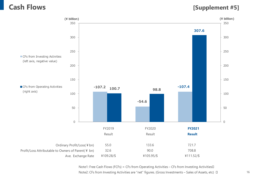### **Cash Flows [Supplement #5]**



Note1: Free Cash Flows (FCFs) = CFs from Operating Activities – CFs from Investing Activities Note2: CFs from Investing Activities are "net" figures. (Gross Investments – Sales of Assets, etc)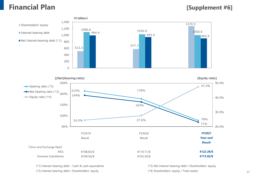### **Financial Plan [Supplement #6]**



(\*1) Interest-bearing debt – Cash & cash equivalents

(\*2) Interest-bearing debt / Shareholders' equity

(\*3) Net interest-bearing debt / Shareholders' equity (\*4) Shareholders' equity / Total assets 17

 $\mathcal{L}_{\mathcal{A}}$ 

 $\sim$ 

 $\mathcal{L}_{\mathcal{A}}$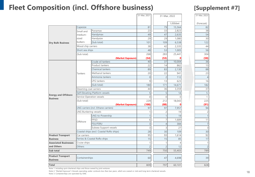### **Fleet Composition (incl. Offshore business) [Supplement #7]**

|                                                                           |                           |                                          | 31-Mar, 2021   | 31-Mar, 2022   |                        | 31-Mar, 2023 |                |
|---------------------------------------------------------------------------|---------------------------|------------------------------------------|----------------|----------------|------------------------|--------------|----------------|
|                                                                           |                           |                                          |                |                |                        |              |                |
|                                                                           |                           |                                          |                |                | $\overline{1,000}$ dwt |              | (Forecast)     |
|                                                                           | Capesize                  |                                          | 81             | 79             | 15,564                 |              | 82             |
|                                                                           | Small and                 | Panamax                                  | 23             | 33             | 2,823                  |              | 38             |
|                                                                           | medium-                   | Handymax                                 | 49             | 47             | 2,635                  |              | 54             |
|                                                                           | sized<br>bulkers          | Handysize                                | 29             | 29             | 1,080                  |              | 30             |
| <b>Dry Bulk Business</b><br><b>Energy and Offshore</b><br><b>Business</b> |                           | (Sub total)                              | 101            | 109            | 6,538                  |              | 122            |
|                                                                           | Wood chip carriers        |                                          | 38             | 42             | 2,335                  |              | 44             |
|                                                                           | Short sea ships           |                                          | 48             | 53             | 1,005                  |              | 56             |
|                                                                           | (Sub total)               |                                          | 268            | 283            | 25,441                 |              | 304            |
|                                                                           |                           | (Market Exposure)                        | (54)           | (53)           |                        |              | (58)           |
|                                                                           |                           | Crude oil tankers                        | 40             | 37             | 10,004                 |              | 36             |
|                                                                           |                           | Product tankers                          | 22             | 14             | 862                    |              | 15             |
|                                                                           |                           | <b>Chemical tankers</b>                  | 89             | 83             | 2,130                  |              | 88             |
|                                                                           | Tankers                   | Methanol tankers                         | 20             | 22             | 941                    |              | 23             |
|                                                                           |                           | Ammonia tankers                          | $\overline{0}$ | $\overline{c}$ | 112                    |              | $\overline{4}$ |
|                                                                           |                           | LPG tankers                              | 9              | 13             | 623                    |              | 16             |
|                                                                           |                           | (Sub total)                              | 180            | 171            | 14,671                 |              | 182            |
|                                                                           | Steaming coal carriers    |                                          | 44             | 36             | 3,359                  |              | 37             |
|                                                                           |                           | Self-Elevating Platform vessels          | 5              | 5              | 14                     |              | 5              |
|                                                                           | Service Operation vessels |                                          | $\overline{0}$ | $\overline{O}$ | $\Omega$               |              | $\mathbf{1}$   |
|                                                                           | (Sub total)               |                                          | 229            | 212            | 18,043                 |              | 225            |
|                                                                           |                           | (Market Exposure)                        | (100)          | (88)           |                        |              | (91)           |
|                                                                           |                           | LNG carriers (incl. Ethane carriers)     | 97             | 97             | 7,957                  |              | 94             |
|                                                                           | LNG Bunkering vessels     |                                          | $\mathbf{1}$   | $\overline{c}$ | 19                     |              | $\overline{c}$ |
|                                                                           | Offshore                  | LNG-to-Powership                         | $\mathbf{1}$   | 1              | 19                     |              | $\overline{1}$ |
|                                                                           |                           | <b>FPSO</b>                              | 6              | $\overline{7}$ | 1,689                  |              | 11             |
|                                                                           |                           | <b>FSU/FSRU</b>                          | $\overline{3}$ | $\overline{4}$ | 384                    |              | $\overline{7}$ |
|                                                                           |                           | Subsea Support vessels                   | 3              | 3              | 27                     |              | $\overline{3}$ |
|                                                                           |                           | Coastal ships (excl. Coastal RoRo ships) | 28             | 30             | 109                    |              | 30             |
| <b>Product Transport</b>                                                  | Car carriers              |                                          | 95             | 93             | 1,614                  |              | 92             |
| <b>Business</b>                                                           |                           | Ferries & Coastal RoRo ships             | 15             | 15             | 85                     |              | 17             |
| <b>Associated Businesses</b>                                              | Cruise ships              |                                          | $\mathbf{1}$   | 1              | 4                      |              | $\mathbf{1}$   |
| and Others                                                                | Others                    |                                          | $\overline{c}$ | $\overline{c}$ | 12                     |              | $\overline{c}$ |
| Sub total                                                                 |                           |                                          | 749            | 750            | 55,403                 |              | 789            |
| <b>Product Transport</b><br><b>Business</b>                               | Containerships            |                                          | 60             | 47             | 4,698                  |              | 39             |
| Total                                                                     |                           |                                          | 809            | 797            | 60,101                 |              | 828            |

Note 1: Including spot-chartered ships and those owned by joint ventures

Note 2: "Market Exposure"=Vessels operating under contracts less than two years, which are owned or mid-and long-term chartered vessels.

Note 3: Containerships are operated by ONE.